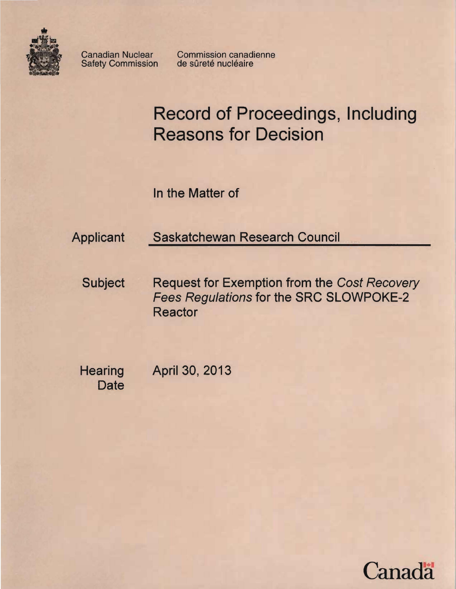

Safety Commission

Canadian Nuclear Commission canadienne<br>Safety Commission de sûreté nucléaire

# Record of Proceedings, Including Reasons for Decision

In the Matter of

Applicant Saskatchewan Research Council

Subject Request for Exemption from the Cost Recovery Fees Regulations for the SRC SLOWPOKE-2 Reactor

**Hearing Date**  April 30, 2013

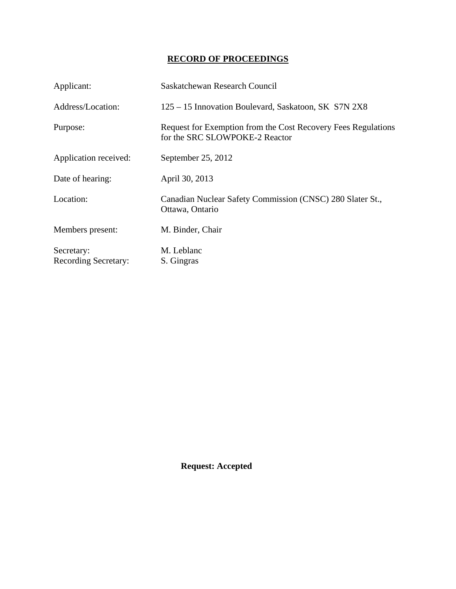## **RECORD OF PROCEEDINGS**

| Applicant:                                | Saskatchewan Research Council                                                                   |
|-------------------------------------------|-------------------------------------------------------------------------------------------------|
| Address/Location:                         | 125 – 15 Innovation Boulevard, Saskatoon, SK S7N 2X8                                            |
| Purpose:                                  | Request for Exemption from the Cost Recovery Fees Regulations<br>for the SRC SLOWPOKE-2 Reactor |
| Application received:                     | September 25, 2012                                                                              |
| Date of hearing:                          | April 30, 2013                                                                                  |
| Location:                                 | Canadian Nuclear Safety Commission (CNSC) 280 Slater St.,<br>Ottawa, Ontario                    |
| Members present:                          | M. Binder, Chair                                                                                |
| Secretary:<br><b>Recording Secretary:</b> | M. Leblanc<br>S. Gingras                                                                        |

 **Request: Accepted**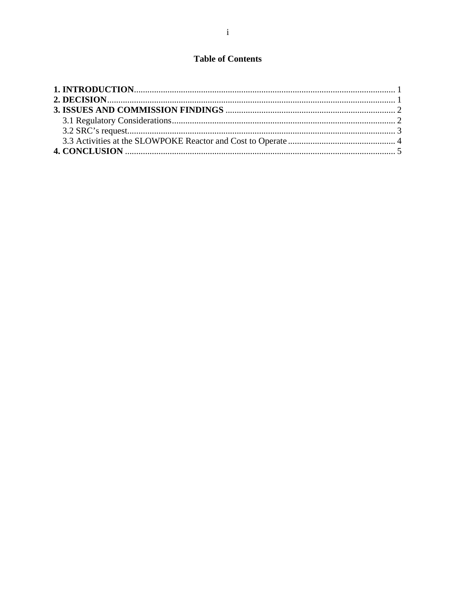## **Table of Contents**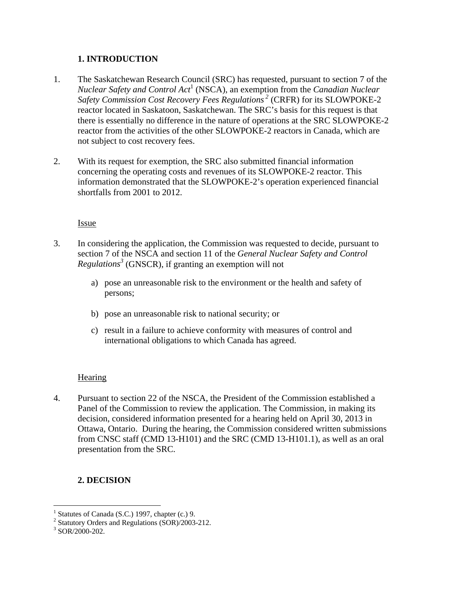## **1. INTRODUCTION**

- 1. The Saskatchewan Research Council (SRC) has requested, pursuant to section 7 of the *Nuclear Safety and Control Act*<sup>1</sup> (NSCA), an exemption from the *Canadian Nuclear Safety Commission Cost Recovery Fees Regulations 2* (CRFR) for its SLOWPOKE-2 reactor located in Saskatoon, Saskatchewan. The SRC's basis for this request is that there is essentially no difference in the nature of operations at the SRC SLOWPOKE-2 reactor from the activities of the other SLOWPOKE-2 reactors in Canada, which are not subject to cost recovery fees.
- 2. With its request for exemption, the SRC also submitted financial information concerning the operating costs and revenues of its SLOWPOKE-2 reactor. This information demonstrated that the SLOWPOKE-2's operation experienced financial shortfalls from 2001 to 2012.

#### Issue

- 3. In considering the application, the Commission was requested to decide, pursuant to section 7 of the NSCA and section 11 of the *General Nuclear Safety and Control Regulations3* (GNSCR), if granting an exemption will not
	- a) pose an unreasonable risk to the environment or the health and safety of persons;
	- b) pose an unreasonable risk to national security; or
	- c) result in a failure to achieve conformity with measures of control and international obligations to which Canada has agreed.

### **Hearing**

4. Pursuant to section 22 of the NSCA, the President of the Commission established a Panel of the Commission to review the application. The Commission, in making its decision, considered information presented for a hearing held on April 30, 2013 in Ottawa, Ontario. During the hearing, the Commission considered written submissions from CNSC staff (CMD 13-H101) and the SRC (CMD 13-H101.1), as well as an oral presentation from the SRC.

## **2. DECISION**

 1 Statutes of Canada (S.C.) 1997, chapter (c.) 9.

<sup>&</sup>lt;sup>2</sup> Statutory Orders and Regulations (SOR)/2003-212.

<sup>3</sup> SOR/2000-202.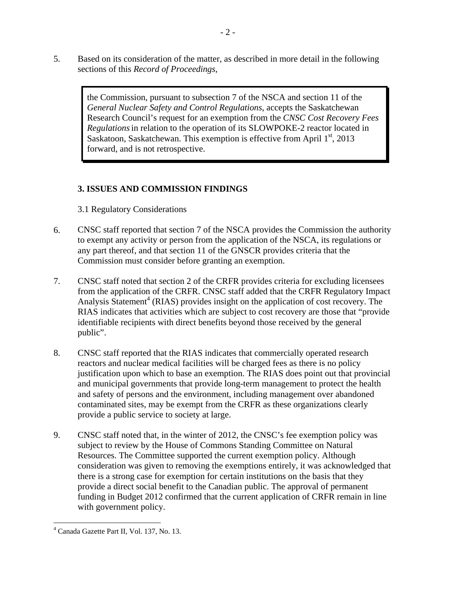5. Based on its consideration of the matter, as described in more detail in the following sections of this *Record of Proceedings*,

> the Commission, pursuant to subsection 7 of the NSCA and section 11 of the *General Nuclear Safety and Control Regulations*, accepts the Saskatchewan Research Council's request for an exemption from the *CNSC Cost Recovery Fees Regulations*in relation to the operation of its SLOWPOKE-2 reactor located in Saskatoon, Saskatchewan. This exemption is effective from April  $1<sup>st</sup>$ , 2013 forward, and is not retrospective.

## **3. ISSUES AND COMMISSION FINDINGS**

3.1 Regulatory Considerations

- 6. CNSC staff reported that section 7 of the NSCA provides the Commission the authority to exempt any activity or person from the application of the NSCA, its regulations or any part thereof, and that section 11 of the GNSCR provides criteria that the Commission must consider before granting an exemption.
- 7. CNSC staff noted that section 2 of the CRFR provides criteria for excluding licensees from the application of the CRFR. CNSC staff added that the CRFR Regulatory Impact Analysis Statement<sup>4</sup> (RIAS) provides insight on the application of cost recovery. The RIAS indicates that activities which are subject to cost recovery are those that "provide identifiable recipients with direct benefits beyond those received by the general public".
- 8. CNSC staff reported that the RIAS indicates that commercially operated research reactors and nuclear medical facilities will be charged fees as there is no policy justification upon which to base an exemption. The RIAS does point out that provincial and municipal governments that provide long-term management to protect the health and safety of persons and the environment, including management over abandoned contaminated sites, may be exempt from the CRFR as these organizations clearly provide a public service to society at large.
- 9. CNSC staff noted that, in the winter of 2012, the CNSC's fee exemption policy was subject to review by the House of Commons Standing Committee on Natural Resources. The Committee supported the current exemption policy. Although consideration was given to removing the exemptions entirely, it was acknowledged that there is a strong case for exemption for certain institutions on the basis that they provide a direct social benefit to the Canadian public. The approval of permanent funding in Budget 2012 confirmed that the current application of CRFR remain in line with government policy.

<sup>- 2 -</sup>

 $\overline{a}$ 4 Canada Gazette Part II, Vol. 137, No. 13.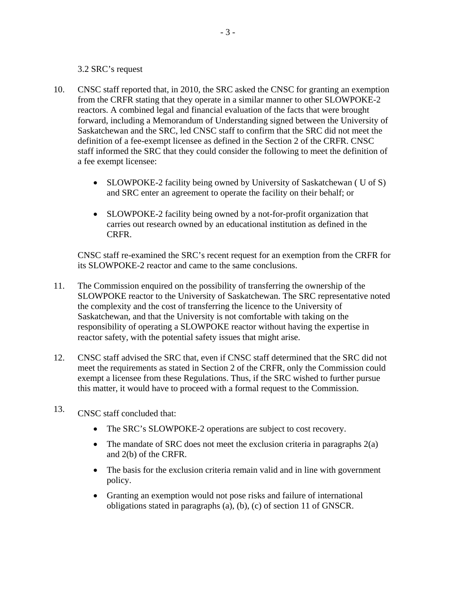#### 3.2 SRC's request

- 10. CNSC staff reported that, in 2010, the SRC asked the CNSC for granting an exemption from the CRFR stating that they operate in a similar manner to other SLOWPOKE-2 reactors. A combined legal and financial evaluation of the facts that were brought forward, including a Memorandum of Understanding signed between the University of Saskatchewan and the SRC, led CNSC staff to confirm that the SRC did not meet the definition of a fee-exempt licensee as defined in the Section 2 of the CRFR. CNSC staff informed the SRC that they could consider the following to meet the definition of a fee exempt licensee:
	- SLOWPOKE-2 facility being owned by University of Saskatchewan ( U of S) and SRC enter an agreement to operate the facility on their behalf; or
	- SLOWPOKE-2 facility being owned by a not-for-profit organization that carries out research owned by an educational institution as defined in the CRFR.

CNSC staff re-examined the SRC's recent request for an exemption from the CRFR for its SLOWPOKE-2 reactor and came to the same conclusions.

- 11. The Commission enquired on the possibility of transferring the ownership of the SLOWPOKE reactor to the University of Saskatchewan. The SRC representative noted the complexity and the cost of transferring the licence to the University of Saskatchewan, and that the University is not comfortable with taking on the responsibility of operating a SLOWPOKE reactor without having the expertise in reactor safety, with the potential safety issues that might arise.
- 12. CNSC staff advised the SRC that, even if CNSC staff determined that the SRC did not meet the requirements as stated in Section 2 of the CRFR, only the Commission could exempt a licensee from these Regulations. Thus, if the SRC wished to further pursue this matter, it would have to proceed with a formal request to the Commission.
- 13. CNSC staff concluded that:
	- The SRC's SLOWPOKE-2 operations are subject to cost recovery.
	- The mandate of SRC does not meet the exclusion criteria in paragraphs 2(a) and 2(b) of the CRFR.
	- The basis for the exclusion criteria remain valid and in line with government policy.
	- Granting an exemption would not pose risks and failure of international obligations stated in paragraphs (a), (b), (c) of section 11 of GNSCR.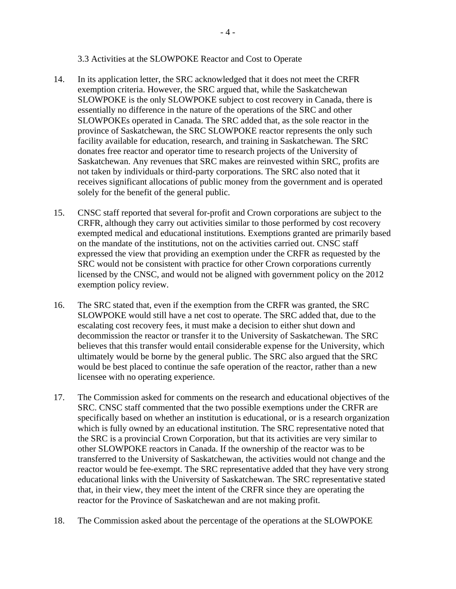#### 3.3 Activities at the SLOWPOKE Reactor and Cost to Operate

- 14. In its application letter, the SRC acknowledged that it does not meet the CRFR exemption criteria. However, the SRC argued that, while the Saskatchewan SLOWPOKE is the only SLOWPOKE subject to cost recovery in Canada, there is essentially no difference in the nature of the operations of the SRC and other SLOWPOKEs operated in Canada. The SRC added that, as the sole reactor in the province of Saskatchewan, the SRC SLOWPOKE reactor represents the only such facility available for education, research, and training in Saskatchewan. The SRC donates free reactor and operator time to research projects of the University of Saskatchewan. Any revenues that SRC makes are reinvested within SRC, profits are not taken by individuals or third-party corporations. The SRC also noted that it receives significant allocations of public money from the government and is operated solely for the benefit of the general public.
- 15. CNSC staff reported that several for-profit and Crown corporations are subject to the CRFR, although they carry out activities similar to those performed by cost recovery exempted medical and educational institutions. Exemptions granted are primarily based on the mandate of the institutions, not on the activities carried out. CNSC staff expressed the view that providing an exemption under the CRFR as requested by the SRC would not be consistent with practice for other Crown corporations currently licensed by the CNSC, and would not be aligned with government policy on the 2012 exemption policy review.
- 16. The SRC stated that, even if the exemption from the CRFR was granted, the SRC SLOWPOKE would still have a net cost to operate. The SRC added that, due to the escalating cost recovery fees, it must make a decision to either shut down and decommission the reactor or transfer it to the University of Saskatchewan. The SRC believes that this transfer would entail considerable expense for the University, which ultimately would be borne by the general public. The SRC also argued that the SRC would be best placed to continue the safe operation of the reactor, rather than a new licensee with no operating experience.
- 17. The Commission asked for comments on the research and educational objectives of the SRC. CNSC staff commented that the two possible exemptions under the CRFR are specifically based on whether an institution is educational, or is a research organization which is fully owned by an educational institution. The SRC representative noted that the SRC is a provincial Crown Corporation, but that its activities are very similar to other SLOWPOKE reactors in Canada. If the ownership of the reactor was to be transferred to the University of Saskatchewan, the activities would not change and the reactor would be fee-exempt. The SRC representative added that they have very strong educational links with the University of Saskatchewan. The SRC representative stated that, in their view, they meet the intent of the CRFR since they are operating the reactor for the Province of Saskatchewan and are not making profit.
- 18. The Commission asked about the percentage of the operations at the SLOWPOKE